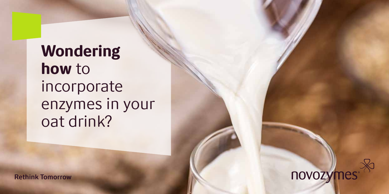Wondering how to incorporate enzymes in your oat drink?

**Rethink Tomorrow** 

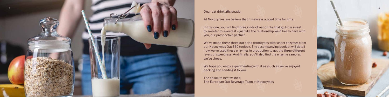#### Dear oat drink aficionado,

At Novozymes, we believe that it's always a good time for gifts.

In this one, you will find three kinds of oat drinks that go from sweet to sweeter to sweetest – just like the relationship we'd like to have with you, our prospective partner.

We've made these three oat drink prototypes with select enzymes from our Novozymes Oat 360 toolbox. The accompanying booklet will detail how we've used these enzymes in production to get the three different levels of sweetness. And finally, you'll also find the enzyme samples we've chose.

We hope you enjoy experimenting with it as much as we've enjoyed packing and sending it to you!

The absolute best wishes, The European Oat Beverage Team at Novozymes



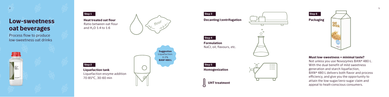4

### Low-sweetness oat beverages

Process flow to produce low-sweetness oat drinks



Step 3

Step 4

Formulation NaCl, oil, flavours, etc.

| Step 5         |  |
|----------------|--|
| Homogenization |  |

 $\begin{tabular}{|c|c|} \hline \rule{0pt}{2.5ex} \rule{0pt}{2.5ex} \rule{0pt}{2.5ex} \rule{0pt}{2.5ex} \rule{0pt}{2.5ex} \rule{0pt}{2.5ex} \rule{0pt}{2.5ex} \rule{0pt}{2.5ex} \rule{0pt}{2.5ex} \rule{0pt}{2.5ex} \rule{0pt}{2.5ex} \rule{0pt}{2.5ex} \rule{0pt}{2.5ex} \rule{0pt}{2.5ex} \rule{0pt}{2.5ex} \rule{0pt}{2.5ex} \rule{0pt}{2.5ex} \rule{0pt}{2.5ex} \rule{0pt}{2$ 

Step 2

Decanting/centrifugation



UHT treatment





### Must low-sweetness = minimal taste?

Not unless you use Novozymes BAN ® 480 L. With the dual benefit of mild sweetness generation and starch liquefaction, BAN ® 480 L delivers both flavor and process efficiency, and give you the opportunity to attain the low-sugar/zero-sugar claim and appeal to healt-conscious consumers.

Heat treated oat flour Ratio between oat flour and H 2O 1:4 to 1:6





Liquefaction tank Liquefaction enzyme addition 70-85°C, 30-60 min

Suggestion Liquefaction: 0.2% BAN® 480 L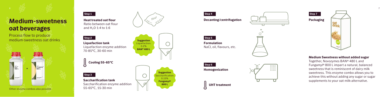## Medium-sweetness oat beverages

Process flow to produce medium-sweetness oat drinks Heat treated oat flour Ratio between oat flour and H 2O 1:4 to 1:6



Step 3

Step 2 Liquefaction tank Liquefaction enzyme addition 70-85°C, 30-60 min

> **Suggestion** Saccharification: 0.15% Fungamyl ® 800 L

Step 5

**Formulation** 

Saccharification tank

Saccharification enzyme addition

55-65°C, 15-30 min





Step 1

Step 6 Homogenization

NaCl, oil, flavours, etc.



Cooling 55-65°C















#### Medium Sweetness without added sugar

Together, Novozymes BAN ® 480 L and Fungamyl ® 800 L impart a natural, balanced sweetness that is reminiscent of dairy milk sweetness. This enzyme combo allows you to achieve this without adding any sugar or sugar supplements to your oat milk-alternative.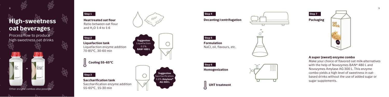

## High-sweetness oat beverages

8

Process flow to produce high-sweetness oat drinks Suggestion



Suggestion Saccharification 0.8% Amylase ® AG 300 L

Step 2 Liquefaction tank Liquefaction enzyme addition 70-85°C, 30-60 min

Other enzyme combos also possible

Heat treated oat flour Ratio between oat flour and H 2O 1:4 to 1:6





Step 3

Saccharification tank

Saccharification enzyme addition

55-65°C, 15-30 min







Cooling 55-65°C

### A super (sweet) enzyme combo

Make your choice of flavored oat milk-alternatives with the help of Novozymes BAN ® 480 L and Novozymes Amylase AG 300 L. This enzyme combo yields a high level of sweetness in oatbased drinks without the use of added sugar or sugar supplements.

Step 4

Step 5

Formulation

Step 6 Homogenization

NaCl, oil, flavours, etc.

Decanting/centrifugation



UHT treatment

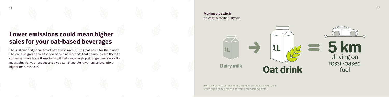### Lower emissions could mean higher sales for your oat-based beverages

The sustainability benefits of oat drinks aren't just great news for the planet. They're also great news for companies and brands that communicate them to consumers. We hope these facts will help you develop stronger sustainability messaging for your products, so you can translate lower emissions into a higher market share.

Making the switch: an easy sustainability win



Source: studies conducted by Novezymes' sustainability team, witch also defined emissions from a standard wehicle.